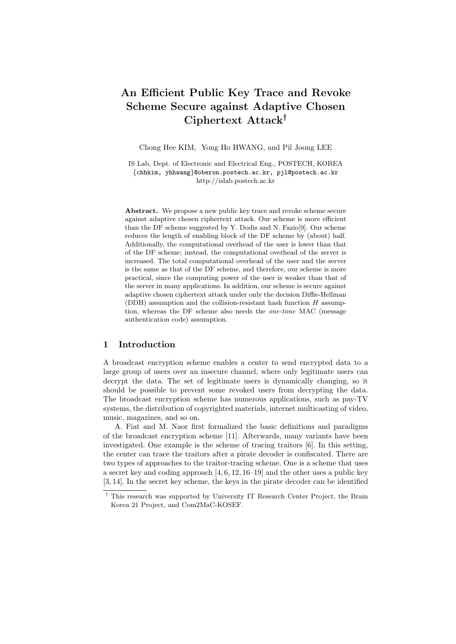# An Efficient Public Key Trace and Revoke Scheme Secure against Adaptive Chosen Ciphertext Attack†

Chong Hee KIM, Yong Ho HWANG, and Pil Joong LEE

IS Lab, Dept. of Electronic and Electrical Eng., POSTECH, KOREA {chhkim, yhhwang}@oberon.postech.ac.kr, pjl@postech.ac.kr http://islab.postech.ac.kr

Abstract. We propose a new public key trace and revoke scheme secure against adaptive chosen ciphertext attack. Our scheme is more efficient than the DF scheme suggested by Y. Dodis and N. Fazio[9]. Our scheme reduces the length of enabling block of the DF scheme by (about) half. Additionally, the computational overhead of the user is lower than that of the DF scheme; instead, the computational overhead of the server is increased. The total computational overhead of the user and the server is the same as that of the DF scheme, and therefore, our scheme is more practical, since the computing power of the user is weaker than that of the server in many applications. In addition, our scheme is secure against adaptive chosen ciphertext attack under only the decision Diffie-Hellman (DDH) assumption and the collision-resistant hash function  $H$  assumption, whereas the DF scheme also needs the one-time MAC (message authentication code) assumption.

## 1 Introduction

A broadcast encryption scheme enables a center to send encrypted data to a large group of users over an insecure channel, where only legitimate users can decrypt the data. The set of legitimate users is dynamically changing, so it should be possible to prevent some revoked users from decrypting the data. The broadcast encryption scheme has numerous applications, such as pay-TV systems, the distribution of copyrighted materials, internet multicasting of video, music, magazines, and so on.

A. Fiat and M. Naor first formalized the basic definitions and paradigms of the broadcast encryption scheme [11]. Afterwards, many variants have been investigated. One example is the scheme of tracing traitors [6]. In this setting, the center can trace the traitors after a pirate decoder is confiscated. There are two types of approaches to the traitor-tracing scheme. One is a scheme that uses a secret key and coding approach [4, 6, 12, 16–19] and the other uses a public key [3, 14]. In the secret key scheme, the keys in the pirate decoder can be identified

<sup>†</sup> This research was supported by University IT Research Center Project, the Brain Korea 21 Project, and Com2MaC-KOSEF.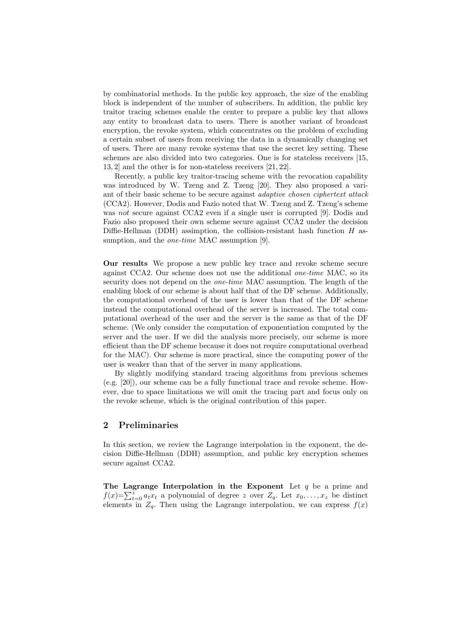by combinatorial methods. In the public key approach, the size of the enabling block is independent of the number of subscribers. In addition, the public key traitor tracing schemes enable the center to prepare a public key that allows any entity to broadcast data to users. There is another variant of broadcast encryption, the revoke system, which concentrates on the problem of excluding a certain subset of users from receiving the data in a dynamically changing set of users. There are many revoke systems that use the secret key setting. These schemes are also divided into two categories. One is for stateless receivers [15, 13, 2] and the other is for non-stateless receivers [21, 22].

Recently, a public key traitor-tracing scheme with the revocation capability was introduced by W. Tzeng and Z. Tzeng [20]. They also proposed a variant of their basic scheme to be secure against adaptive chosen ciphertext attack (CCA2). However, Dodis and Fazio noted that W. Tzeng and Z. Tzeng's scheme was not secure against CCA2 even if a single user is corrupted [9]. Dodis and Fazio also proposed their own scheme secure against CCA2 under the decision Diffie-Hellman (DDH) assimption, the collision-resistant hash function  $H$  assumption, and the *one-time* MAC assumption [9].

Our results We propose a new public key trace and revoke scheme secure against CCA2. Our scheme does not use the additional one-time MAC, so its security does not depend on the *one-time* MAC assumption. The length of the enabling block of our scheme is about half that of the DF scheme. Additionally, the computational overhead of the user is lower than that of the DF scheme instead the computational overhead of the server is increased. The total computational overhead of the user and the server is the same as that of the DF scheme. (We only consider the computation of exponentiation computed by the server and the user. If we did the analysis more precisely, our scheme is more efficient than the DF scheme because it does not require computational overhead for the MAC). Our scheme is more practical, since the computing power of the user is weaker than that of the server in many applications.

By slightly modifying standard tracing algorithms from previous schemes (e.g. [20]), our scheme can be a fully functional trace and revoke scheme. However, due to space limitations we will omit the tracing part and focus only on the revoke scheme, which is the original contribution of this paper.

## 2 Preliminaries

In this section, we review the Lagrange interpolation in the exponent, the decision Diffie-Hellman (DDH) assumption, and public key encryption schemes secure against CCA2.

The Lagrange Interpolation in the Exponent Let  $q$  be a prime and The Lagrange interpolation in the Exponent Let q be a prime and  $f(x)=\sum_{t=0}^{x} a_t x_t$  a polynomial of degree z over  $Z_q$ . Let  $x_0, \ldots, x_z$  be distinct elements in  $Z_q$ . Then using the Lagrange interpolation, we can express  $f(x)$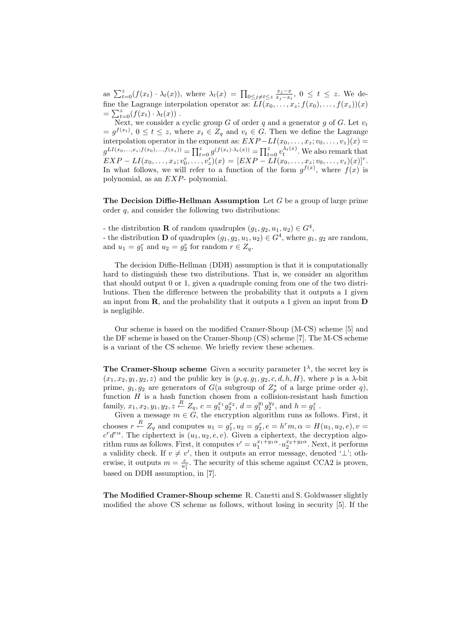as  $\sum_{t=0}^{z}(f(x_t)\cdot \lambda_t(x))$ , where  $\lambda_t(x) = \prod_{0\leq j\neq t\leq z} \frac{x_j-x}{x_i-x_i}$  $\frac{x_j-x_t}{x_j-x_t}$ , 0 ≤ t ≤ z. We define the Lagrange interpolation operator as:  $LI(x_0, \ldots, x_z; f(x_0), \ldots, f(x_z))(x)$  $=\sum_{t=0}^z (f(x_t)\cdot \lambda_t(x))$ .

Next, we consider a cyclic group G of order q and a generator g of G. Let  $v_t$  $= g^{f(x_t)}, 0 \le t \le z$ , where  $x_t \in Z_q$  and  $v_t \in G$ . Then we define the Lagrange interpolation operator in the exponent as:  $EXP-LI(x_0, \ldots, x_z; v_0, \ldots, v_z)(x) =$  $g^{LI(x_0,...,x_z; f(x_0),...,f(x_z))} = \prod_{t=0}^{z} g^{(f(x_t)\cdot\lambda_t(x))} = \prod_{t=0}^{z} v_t^{\lambda_t(x)}$ . We also remark that  $EXP - LI(x<sub>0</sub>,..., x<sub>z</sub>; v<sub>0</sub><sup>r</sup>,..., v<sub>z</sub><sup>r</sup>)(x) = [EXP - LI(x<sub>0</sub>,..., x<sub>z</sub>; v<sub>0</sub>,..., v<sub>z</sub>)(x)]<sup>r</sup>.$ In what follows, we will refer to a function of the form  $g^{f(x)}$ , where  $f(x)$  is polynomial, as an EXP- polynomial.

**The Decision Diffie-Hellman Assumption** Let  $G$  be a group of large prime order q, and consider the following two distributions:

- the distribution **R** of random quadruples  $(g_1, g_2, u_1, u_2) \in G^4$ , - the distribution **D** of quadruples  $(g_1, g_2, u_1, u_2) \in G^4$ , where  $g_1, g_2$  are random, and  $u_1 = g_1^r$  and  $u_2 = g_2^r$  for random  $r \in Z_q$ .

The decision Diffie-Hellman (DDH) assumption is that it is computationally hard to distinguish these two distributions. That is, we consider an algorithm that should output 0 or 1, given a quadruple coming from one of the two distributions. Then the difference between the probability that it outputs a 1 given an input from  $\mathbf R$ , and the probability that it outputs a 1 given an input from  $\mathbf D$ is negligible.

Our scheme is based on the modified Cramer-Shoup (M-CS) scheme [5] and the DF scheme is based on the Cramer-Shoup (CS) scheme [7]. The M-CS scheme is a variant of the CS scheme. We briefly review these schemes.

**The Cramer-Shoup scheme** Given a security parameter  $1^{\lambda}$ , the secret key is  $(x_1, x_2, y_1, y_2, z)$  and the public key is  $(p, q, g_1, g_2, c, d, h, H)$ , where p is a  $\lambda$ -bit prime,  $g_1, g_2$  are generators of  $G$ (a subgroup of  $Z_p^*$  of a large prime order q), function  $H$  is a hash function chosen from a collision-resistant hash function family,  $x_1, x_2, y_1, y_2, z \stackrel{R}{\leftarrow} Z_q$ ,  $c = g_1^{x_1} g_2^{x_2}$ ,  $d = g_1^{y_1} g_2^{y_2}$ , and  $h = g_1^z$ .

Given a message  $m \in G$ , the encryption algorithm runs as follows. First, it chooses  $r \stackrel{R}{\leftarrow} Z_q$  and computes  $u_1 = g_1^r, u_2 = g_2^r, e = h^r m, \alpha = H(u_1, u_2, e), v =$  $c^r d^{r\alpha}$ . The ciphertext is  $(u_1, u_2, e, v)$ . Given a ciphertext, the decryption algorithm runs as follows. First, it computes  $v' = u_1^{x_1 + y_1 \alpha} \cdot u_2^{x_2 + y_2 \alpha}$ . Next, it performs a validity check. If  $v \neq v'$ , then it outputs an error message, denoted ' $\perp$ '; otherwise, it outputs  $m = \frac{e}{u_1^2}$ . The security of this scheme against CCA2 is proven, based on DDH assumption, in [7].

The Modified Cramer-Shoup scheme R. Canetti and S. Goldwasser slightly modified the above CS scheme as follows, without losing in security [5]. If the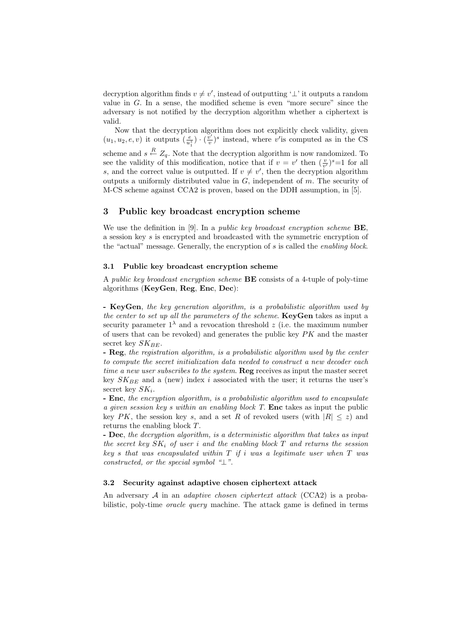decryption algorithm finds  $v \neq v'$ , instead of outputting '⊥' it outputs a random value in  $G$ . In a sense, the modified scheme is even "more secure" since the adversary is not notified by the decryption algorithm whether a ciphertext is valid.

Now that the decryption algorithm does not explicitly check validity, given  $(u_1, u_2, e, v)$  it outputs  $\left(\frac{e}{u_1^2}\right) \cdot \left(\frac{v'}{v}\right)$  $(v')^s$  instead, where v'is computed as in the CS scheme and  $s \stackrel{R}{\leftarrow} Z_q$ . Note that the decryption algorithm is now randomized. To see the validity of this modification, notice that if  $v = v'$  then  $(\frac{v}{v'})^s = 1$  for all s, and the correct value is outputted. If  $v \neq v'$ , then the decryption algorithm outputs a uniformly distributed value in  $G$ , independent of  $m$ . The security of M-CS scheme against CCA2 is proven, based on the DDH assumption, in [5].

#### 3 Public key broadcast encryption scheme

We use the definition in [9]. In a *public key broadcast encryption scheme*  $BE$ , a session key s is encrypted and broadcasted with the symmetric encryption of the "actual" message. Generally, the encryption of s is called the enabling block.

#### 3.1 Public key broadcast encryption scheme

A public key broadcast encryption scheme BE consists of a 4-tuple of poly-time algorithms (KeyGen, Reg, Enc, Dec):

- KeyGen, the key generation algorithm, is a probabilistic algorithm used by the center to set up all the parameters of the scheme. KeyGen takes as input a security parameter  $1^{\lambda}$  and a revocation threshold z (i.e. the maximum number of users that can be revoked) and generates the public key  $PK$  and the master secret key  $SK_{BE}$ .

- Reg, the registration algorithm, is a probabilistic algorithm used by the center to compute the secret initialization data needed to construct a new decoder each time a new user subscribes to the system. Reg receives as input the master secret key  $SK_{BE}$  and a (new) index i associated with the user; it returns the user's secret key  $SK_i$ .

- **Enc**, the encryption algorithm, is a probabilistic algorithm used to encapsulate a given session key s within an enabling block T. Enc takes as input the public key PK, the session key s, and a set R of revoked users (with  $|R| \leq z$ ) and returns the enabling block T.

- Dec, the decryption algorithm, is a deterministic algorithm that takes as input the secret key  $SK_i$  of user i and the enabling block T and returns the session key s that was encapsulated within  $T$  if i was a legitimate user when  $T$  was constructed, or the special symbol " $\perp$ ".

### 3.2 Security against adaptive chosen ciphertext attack

An adversary  $A$  in an *adaptive chosen ciphertext attack* (CCA2) is a probabilistic, poly-time oracle query machine. The attack game is defined in terms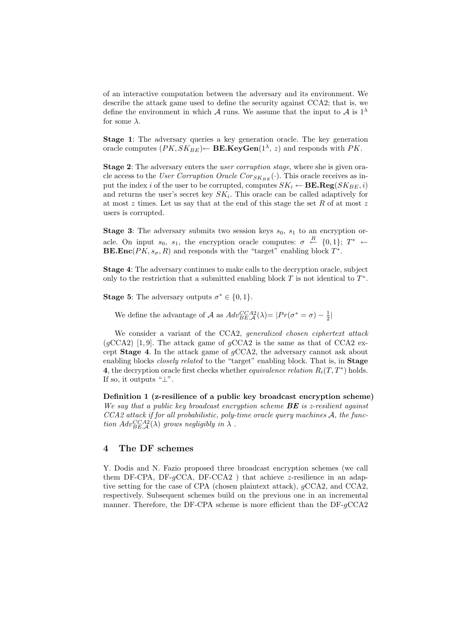of an interactive computation between the adversary and its environment. We describe the attack game used to define the security against CCA2; that is, we define the environment in which A runs. We assume that the input to A is  $1^{\lambda}$ for some  $\lambda$ .

Stage 1: The adversary queries a key generation oracle. The key generation oracle computes  $(PK, SK_{BE}) \leftarrow$  BE.KeyGen(1<sup> $\lambda$ </sup>, *z*) and responds with PK.

Stage 2: The adversary enters the *user corruption stage*, where she is given oracle access to the User Corruption Oracle Cor $_{SK_{BE}}(\cdot)$ . This oracle receives as input the index i of the user to be corrupted, computes  $SK_i \leftarrow \textbf{BE}.\textbf{Reg}(SK_{BE}, i)$ and returns the user's secret key  $SK_i$ . This oracle can be called adaptively for at most  $z$  times. Let us say that at the end of this stage the set  $R$  of at most  $z$ users is corrupted.

**Stage 3:** The adversary submits two session keys  $s_0$ ,  $s_1$  to an encryption oracle. On input  $s_0, s_1$ , the encryption oracle computes:  $\sigma \leftarrow R$   $\{0,1\}; T^* \leftarrow$ **BE.Enc**( $PK$ ,  $s_{\sigma}$ , R) and responds with the "target" enabling block  $T^*$ .

Stage 4: The adversary continues to make calls to the decryption oracle, subject only to the restriction that a submitted enabling block  $T$  is not identical to  $T^*$ .

**Stage 5:** The adversary outputs  $\sigma^* \in \{0, 1\}.$ 

We define the advantage of A as  $Adv_{BE,A}^{CCA2}(\lambda) = |Pr(\sigma^* = \sigma) - \frac{1}{2}|$ 

We consider a variant of the CCA2, generalized chosen ciphertext attack  $(gCCA2)$  [1,9]. The attack game of  $gCCA2$  is the same as that of CCA2 except Stage 4. In the attack game of gCCA2, the adversary cannot ask about enabling blocks *closely related* to the "target" enabling block. That is, in **Stage** 4, the decryption oracle first checks whether *equivalence relation*  $R_i(T, T^*)$  holds. If so, it outputs " $\perp$ ".

Definition 1 (z-resilience of a public key broadcast encryption scheme) We say that a public key broadcast encryption scheme  $BE$  is z-resilient against CCA2 attack if for all probabilistic, poly-time oracle query machines A, the function  $Adv_{BE,\mathcal{A}}^{CCA2}(\lambda)$  grows negligibly in  $\lambda$ .

## 4 The DF schemes

Y. Dodis and N. Fazio proposed three broadcast encryption schemes (we call them DF-CPA, DF- $qCCA$ , DF-CCA2) that achieve z-resilience in an adaptive setting for the case of CPA (chosen plaintext attack), gCCA2, and CCA2, respectively. Subsequent schemes build on the previous one in an incremental manner. Therefore, the DF-CPA scheme is more efficient than the DF-gCCA2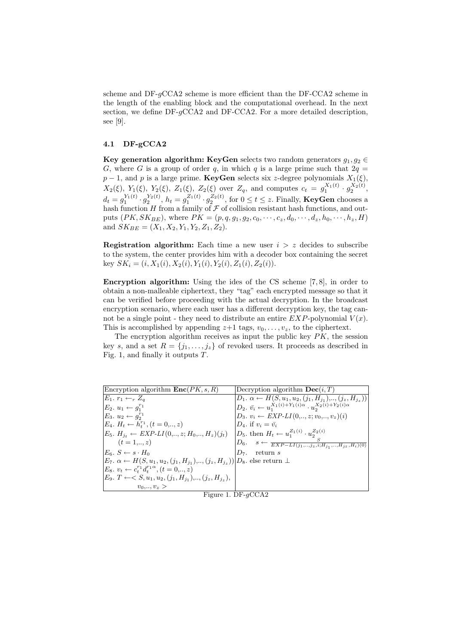scheme and  $DF-gCCA2$  scheme is more efficient than the  $DF-CCA2$  scheme in the length of the enabling block and the computational overhead. In the next section, we define DF- $qCCA2$  and DF-CCA2. For a more detailed description, see [9].

### 4.1 DF-gCCA2

Key generation algorithm: KeyGen selects two random generators  $g_1, g_2 \in$ G, where G is a group of order q, in which q is a large prime such that  $2q =$  $p-1$ , and p is a large prime. **KeyGen** selects six z-degree polynomials  $X_1(\xi)$ ,  $X_2(\xi), Y_1(\xi), Y_2(\xi), Z_1(\xi), Z_2(\xi)$  over  $Z_q$ , and computes  $c_t = g_1^{X_1(t)} \cdot g_2^{X_2(t)}$ ,  $d_t = g_1^{Y_1(t)} \cdot g_2^{Y_2(t)}$ ,  $h_t = g_1^{Z_1(t)} \cdot g_2^{Z_2(t)}$ , for  $0 \le t \le z$ . Finally, **KeyGen** chooses a hash function  $H$  from a family of  $\mathcal F$  of collision resistant hash functions, and outputs  $(PK, SK_{BE})$ , where  $PK = (p, q, g_1, g_2, c_0, \dots, c_z, d_0, \dots, d_z, h_0, \dots, h_z, H)$ and  $SK_{BE} = (X_1, X_2, Y_1, Y_2, Z_1, Z_2).$ 

**Registration algorithm:** Each time a new user  $i > z$  decides to subscribe to the system, the center provides him with a decoder box containing the secret key  $SK_i = (i, X_1(i), X_2(i), Y_1(i), Y_2(i), Z_1(i), Z_2(i)).$ 

Encryption algorithm: Using the ides of the CS scheme [7, 8], in order to obtain a non-malleable ciphertext, they "tag" each encrypted message so that it can be verified before proceeding with the actual decryption. In the broadcast encryption scenario, where each user has a different decryption key, the tag cannot be a single point - they need to distribute an entire  $EXP$ -polynomial  $V(x)$ . This is accomplished by appending  $z+1$  tags,  $v_0, \ldots, v_z$ , to the ciphertext.

The encryption algorithm receives as input the public key  $PK$ , the session key s, and a set  $R = \{j_1, \ldots, j_z\}$  of revoked users. It proceeds as described in Fig. 1, and finally it outputs  $T$ .

| Encryption algorithm $\text{Enc}(PK, s, R)$                                                                | Decryption algorithm $\textbf{Dec}(i, T)$                                                          |
|------------------------------------------------------------------------------------------------------------|----------------------------------------------------------------------------------------------------|
| $E_1. r_1 \leftarrow_r Z_q$                                                                                | $D_1. \alpha \leftarrow H(S, u_1, u_2, (j_1, H_{i_1}), \ldots, (j_z, H_{i_z}))$                    |
| $E_2, u_1 \leftarrow q_1^{r_1}$                                                                            | $ D_2, \, \bar{v_i} \leftarrow u_1^{X_1(i) + Y_1(i)\alpha} \cdot u_\alpha^{X_2(i) + Y_2(i)\alpha}$ |
| $E_3. u_2 \leftarrow q_2^{r_1}$                                                                            | $D_3. v_i \leftarrow EXP-LI(0, \ldots, z; v_0, \ldots, v_z)(i)$                                    |
| $E_4$ , $H_t \leftarrow h_t^{r_1}$ , $(t = 0, \ldots, z)$                                                  | $D_4$ , if $v_i = \bar{v_i}$                                                                       |
| $E_5$ . $H_{i_t} \leftarrow EXP-LI(0, \ldots, z; H_0, \ldots, H_z)(j_t)$                                   | $ D_5 $ then $H_t \leftarrow u_1^{Z_1(i)} \cdot u_2^{Z_2(i)}$                                      |
| $(t = 1, \ldots, z)$                                                                                       | $\left D_6\right  \quad s \leftarrow \frac{S}{EXP-LI(j_1,,j_z,i;H_{j_1},,H_{j_z},H_i)(0)}\right $  |
| $E_6$ , $S \leftarrow s \cdot H_0$                                                                         | $D_7$ , return s                                                                                   |
| $E_7. \alpha \leftarrow H(S, u_1, u_2, (j_1, H_{j_1}), \ldots, (j_z, H_{j_z}))   D_8.$ else return $\perp$ |                                                                                                    |
| $E_8$ , $v_t \leftarrow c_t^{r_1} d_t^{r_1 \alpha}, (t = 0, \ldots, z)$                                    |                                                                                                    |
| $E_9. T \leftarrow S, u_1, u_2, (j_1, H_{j_1}), \ldots, (j_z, H_{j_z}),$                                   |                                                                                                    |
| $v_0, , v_z >$                                                                                             |                                                                                                    |

Figure 1. DF-gCCA2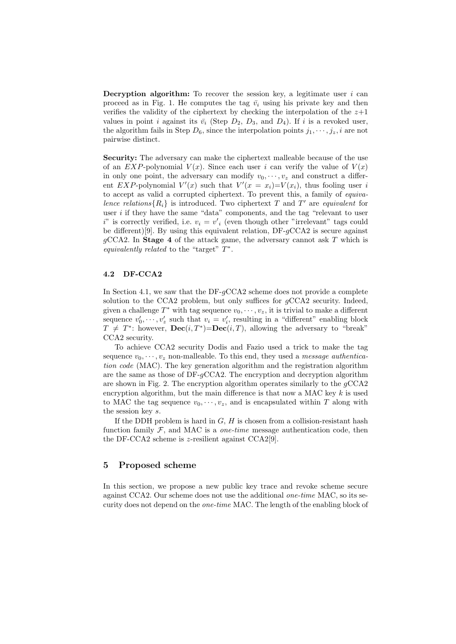**Decryption algorithm:** To recover the session key, a legitimate user  $i$  can proceed as in Fig. 1. He computes the tag  $\bar{v}_i$  using his private key and then verifies the validity of the ciphertext by checking the interpolation of the  $z+1$ values in point *i* against its  $\bar{v}_i$  (Step  $D_2$ ,  $D_3$ , and  $D_4$ ). If *i* is a revoked user, the algorithm fails in Step  $D_6$ , since the interpolation points  $j_1, \dots, j_z, i$  are not pairwise distinct.

Security: The adversary can make the ciphertext malleable because of the use of an  $EXP$ -polynomial  $V(x)$ . Since each user i can verify the value of  $V(x)$ in only one point, the adversary can modify  $v_0, \dots, v_z$  and construct a different EXP-polynomial  $V'(x)$  such that  $V'(x) = x_i$ = $V(x_i)$ , thus fooling user i to accept as valid a corrupted ciphertext. To prevent this, a family of equivalence relations  $\{R_i\}$  is introduced. Two ciphertext T and T' are equivalent for user  $i$  if they have the same "data" components, and the tag "relevant to user  $i^"$  is correctly verified, i.e.  $v_i = v'_i$  (even though other "irrelevant" tags could be different)[9]. By using this equivalent relation,  $DF-gCCA2$  is secure against  $q\text{CCA2}$ . In **Stage 4** of the attack game, the adversary cannot ask T which is equivalently related to the "target"  $T^*$ .

#### 4.2 DF-CCA2

In Section 4.1, we saw that the DF- $qCCA2$  scheme does not provide a complete solution to the CCA2 problem, but only suffices for  $q$ CCA2 security. Indeed, given a challenge  $T^*$  with tag sequence  $v_0, \dots, v_z$ , it is trivial to make a different sequence  $v'_0, \dots, v'_z$  such that  $v_i = v'_i$ , resulting in a "different" enabling block  $T \neq T^*$ : however,  $\textbf{Dec}(i, T^*) = \textbf{Dec}(i, T)$ , allowing the adversary to "break" CCA2 security.

To achieve CCA2 security Dodis and Fazio used a trick to make the tag sequence  $v_0, \dots, v_z$  non-malleable. To this end, they used a message authentication code (MAC). The key generation algorithm and the registration algorithm are the same as those of  $DF-qCCA2$ . The encryption and decryption algorithm are shown in Fig. 2. The encryption algorithm operates similarly to the  $qCCA2$ encryption algorithm, but the main difference is that now a MAC key  $k$  is used to MAC the tag sequence  $v_0, \dots, v_z$ , and is encapsulated within T along with the session key s.

If the DDH problem is hard in  $G, H$  is chosen from a collision-resistant hash function family  $F$ , and MAC is a *one-time* message authentication code, then the DF-CCA2 scheme is z-resilient against CCA2[9].

## 5 Proposed scheme

In this section, we propose a new public key trace and revoke scheme secure against CCA2. Our scheme does not use the additional one-time MAC, so its security does not depend on the *one-time* MAC. The length of the enabling block of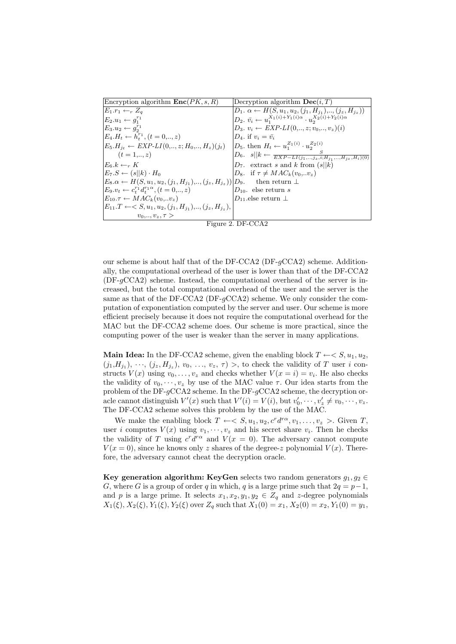| Encryption algorithm $\text{Enc}(PK, s, R)$                                           | Decryption algorithm $\textbf{Dec}(i, T)$                                                    |
|---------------------------------------------------------------------------------------|----------------------------------------------------------------------------------------------|
| $E_1.r_1 \leftarrow_r Z_q$                                                            | $D_1$ , $\alpha \leftarrow H(S, u_1, u_2, (i_1, H_{i_1}), \ldots, (i_z, H_{i_z}))$           |
| $E_2.u_1 \leftarrow q_1^{r_1}$                                                        | $D_2, \, \bar{v_i} \leftarrow u_1^{X_1(i) + Y_1(i)\alpha} \cdot u_2^{X_2(i) + Y_2(i)\alpha}$ |
| $E_3.u_2 \leftarrow q_2^{r_1}$                                                        | $D_3. v_i \leftarrow EXP-LI(0, \ldots, z; v_0, \ldots, v_z)(i)$                              |
| $E_4.H_t \leftarrow h_t^{r_1}, (t = 0, \ldots, z)$                                    | $D_4$ , if $v_i = \bar{v_i}$                                                                 |
| $E_5.H_{it} \leftarrow EXP-LI(0, , z; H_0, , H_z)(j_t)$                               | $ D_5$ , then $H_t \leftarrow u_1^{Z_1(i)} \cdot u_2^{Z_2(i)}$                               |
| $(t = 1, \ldots, z)$                                                                  | $ D_6 $ . $s  k \leftarrow \frac{S}{EXP-LI(j_1,,j_z,i;H_{j_1},,H_{j_z},H_i)(0)}$             |
| $E_6.k \leftarrow_r K$                                                                | $D_7$ . extract s and k from $(s  k)$                                                        |
| $E_7.S \leftarrow (s  k) \cdot H_0$                                                   | $D_8$ . if $\tau \neq MAC_k(v_0,  v_z)$                                                      |
| $E_8 \alpha \leftarrow H(S, u_1, u_2, (i_1, H_{i_1}), \ldots, (i_z, H_{i_z}))   D_9.$ | then return $\perp$                                                                          |
| $E_9.v_t \leftarrow c_*^{r_1} d_*^{r_1\alpha}, (t = 0, , z)$                          | $D_{10}$ . else return s                                                                     |
| $E_{10} \tau \leftarrow MAC_k(v_0v_z)$                                                | $D_{11}$ else return $\perp$                                                                 |
| $E_{11}.T \leftarrow S, u_1, u_2, (j_1, H_{i_1}), \ldots, (j_z, H_{i_z}),$            |                                                                                              |
| $v_0, , v_z, \tau >$                                                                  |                                                                                              |

Figure 2. DF-CCA2

our scheme is about half that of the DF-CCA2 (DF- $q$ CCA2) scheme. Additionally, the computational overhead of the user is lower than that of the DF-CCA2  $(DF-qCCA2)$  scheme. Instead, the computational overhead of the server is increased, but the total computational overhead of the user and the server is the same as that of the DF-CCA2 (DF- $qCCA2$ ) scheme. We only consider the computation of exponentiation computed by the server and user. Our scheme is more efficient precisely because it does not require the computational overhead for the MAC but the DF-CCA2 scheme does. Our scheme is more practical, since the computing power of the user is weaker than the server in many applications.

Main Idea: In the DF-CCA2 scheme, given the enabling block  $T \leftarrow S, u_1, u_2$ ,  $(j_1,H_{j_1}),\dots,(j_z,H_{j_z}), v_0,\dots,v_z,\tau\geq 0$  to check the validity of T user i constructs  $V(x)$  using  $v_0, \ldots, v_z$  and checks whether  $V(x = i) = v_i$ . He also checks the validity of  $v_0, \dots, v_z$  by use of the MAC value  $\tau$ . Our idea starts from the problem of the DF- $q$ CCA2 scheme. In the DF- $q$ CCA2 scheme, the decryption oracle cannot distinguish  $V'(x)$  such that  $V'(i) = V(i)$ , but  $v'_0, \dots, v'_z \neq v_0, \dots, v_z$ . The DF-CCA2 scheme solves this problem by the use of the MAC.

We make the enabling block  $T \leftarrow \langle S, u_1, u_2, c^r d^{r\alpha}, v_1, \ldots, v_z \rangle$ . Given  $T$ , user *i* computes  $V(x)$  using  $v_1, \dots, v_z$  and his secret share  $v_i$ . Then he checks the validity of T using  $c^r d^{r\alpha}$  and  $V(x = 0)$ . The adversary cannot compute  $V(x = 0)$ , since he knows only z shares of the degree-z polynomial  $V(x)$ . Therefore, the adversary cannot cheat the decryption oracle.

Key generation algorithm: KeyGen selects two random generators  $g_1, g_2 \in$ G, where G is a group of order q in which, q is a large prime such that  $2q = p-1$ , and p is a large prime. It selects  $x_1, x_2, y_1, y_2 \in Z_q$  and z-degree polynomials  $X_1(\xi), X_2(\xi), Y_1(\xi), Y_2(\xi)$  over  $Z_q$  such that  $X_1(0) = x_1, X_2(0) = x_2, Y_1(0) = y_1$ ,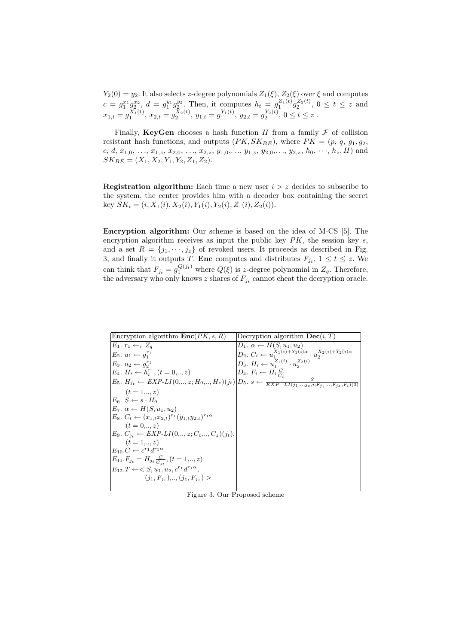$Y_2(0) = y_2$ . It also selects z-degree polynomials  $Z_1(\xi)$ ,  $Z_2(\xi)$  over  $\xi$  and computes  $c = g_1^{x_1} g_2^{x_2}, d = g_1^{y_1} g_2^{y_2}.$  Then, it computes  $h_t = g_1^{Z_1(t)} g_2^{Z_2(t)}$ ,  $0 \le t \le z$  and  $x_{1,t} = g_1^{X_1(t)}, x_{2,t} = g_2^{X_2(t)}, y_{1,t} = g_1^{Y_1(t)}, y_{2,t} = g_2^{Y_2(t)}, 0 \le t \le z$ .

Finally, KeyGen chooses a hash function H from a family  $\mathcal F$  of collision resistant hash functions, and outputs  $(PK, SK_{BE})$ , where  $PK = (p, q, g_1, g_2,$ c, d,  $x_{1,0}, \ldots, x_{1,z}, x_{2,0}, \ldots, x_{2,z}, y_{1,0}, \ldots, y_{1,z}, y_{2,0}, \ldots, y_{2,z}, h_0, \ldots, h_z, H$  and  $SK_{BE} = (X_1, X_2, Y_1, Y_2, Z_1, Z_2).$ 

**Registration algorithm:** Each time a new user  $i > z$  decides to subscribe to the system, the center provides him with a decoder box containing the secret key  $SK_i = (i, X_1(i), X_2(i), Y_1(i), Y_2(i), Z_1(i), Z_2(i)).$ 

Encryption algorithm: Our scheme is based on the idea of M-CS [5]. The encryption algorithm receives as input the public key  $PK$ , the session key s, and a set  $R = \{j_1, \dots, j_z\}$  of revoked users. It proceeds as described in Fig. 3, and finally it outputs T. Enc computes and distributes  $F_{j_t}$ ,  $1 \le t \le z$ . We can think that  $F_{j_t} = g_1^{Q(j_t)}$  where  $Q(\xi)$  is z-degree polynomial in  $Z_q$ . Therefore, the adversary who only knows z shares of  $F_{j_t}$  cannot cheat the decryption oracle.

| Encryption algorithm $\text{Enc}(PK, s, R)$                                                                                              | Decryption algorithm $\textbf{Dec}(i, T)$                                           |
|------------------------------------------------------------------------------------------------------------------------------------------|-------------------------------------------------------------------------------------|
| $E_1, r_1 \leftarrow_r Z_q$                                                                                                              | $D_1$ , $\alpha \leftarrow H(S, u_1, u_2)$                                          |
| $E_2, u_1 \leftarrow q_1^{r_1}$                                                                                                          | $D_2. C_i \leftarrow u_1^{X_1(i) + Y_1(i)\alpha} \cdot u_2^{X_2(i) + Y_2(i)\alpha}$ |
| $E_3. u_2 \leftarrow q_2^{r_1}$                                                                                                          | $D_3. H_i \leftarrow u_1^{Z_1(i)} \cdot u_2^{Z_2(i)}$                               |
| $E_4$ , $H_t \leftarrow h_t^{r_1}$ , $(t = 0, \ldots, z)$                                                                                | $D_4. F_i \leftarrow H_i \frac{C}{C}$                                               |
| $E_5$ . $H_{j_t} \leftarrow EXP-LI(0, , z; H_0, , H_z)(j_t) D_5$ . $s \leftarrow \frac{s}{EXP-LI(j_1, , j_z, i; F_i, , F_{iz}, F_i)(0)}$ |                                                                                     |
| $(t = 1, \ldots, z)$                                                                                                                     |                                                                                     |
| $E_6, S \leftarrow s \cdot H_0$                                                                                                          |                                                                                     |
| $E_7$ , $\alpha \leftarrow H(S, u_1, u_2)$                                                                                               |                                                                                     |
| $E_8$ , $C_t \leftarrow (x_{1,t}x_{2,t})^{r_1}(y_{1,t}y_{2,t})^{r_1\alpha}$                                                              |                                                                                     |
| $(t = 0, \ldots, z)$                                                                                                                     |                                                                                     |
| $E_9. C_{i_t} \leftarrow EXP-LI(0, , z; C_0, , C_z)(j_t),$                                                                               |                                                                                     |
| $(t = 1, \ldots, z)$                                                                                                                     |                                                                                     |
| $E_{10}.C \leftarrow c^{r_1}d^{r_1\alpha}$                                                                                               |                                                                                     |
| $E_{11}.F_{j_t} = H_{j_t} \frac{C}{C_{j_t}}, (t = 1, \ldots, z)$                                                                         |                                                                                     |
| $E_{12}.T \leftarrow < S, u_1, u_2, c^{r_1}d^{r_1\alpha},$                                                                               |                                                                                     |
| $(i_1, F_{i_1}), \ldots, (i_z, F_{i_z}) >$                                                                                               |                                                                                     |
|                                                                                                                                          |                                                                                     |

Figure 3. Our Proposed scheme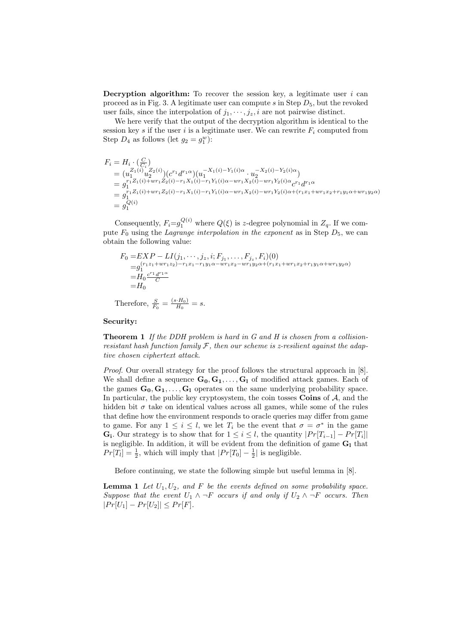**Decryption algorithm:** To recover the session key, a legitimate user  $i$  can proceed as in Fig. 3. A legitimate user can compute s in Step  $D_5$ , but the revoked user fails, since the interpolation of  $j_1, \dots, j_z, i$  are not pairwise distinct.

We here verify that the output of the decryption algorithm is identical to the session key s if the user i is a legitimate user. We can rewrite  $F_i$  computed from Step  $D_4$  as follows (let  $g_2 = g_1^w$ ):

$$
\begin{array}{llll} F_i=H_i\cdot (\frac{C}{C_i})\\ \quad=\big(u_1^{Z_1(i)}u_2^{Z_2(i)}\big)(c^{r_1}d^{r_1\alpha})\big(u_1^{-X_1(i)-Y_1(i)\alpha}\cdot u_2^{-X_2(i)-Y_2(i)\alpha}\big)\\ \quad=\, g_1^{r_1Z_1(i)+wr_1Z_2(i)-r_1X_1(i)-r_1Y_1(i)\alpha-wr_1X_2(i)-wr_1Y_2(i)\alpha}c^{r_1}d^{r_1\alpha}\\ \quad=\, g_1^{r_1Z_1(i)+wr_1Z_2(i)-r_1X_1(i)-r_1Y_1(i)\alpha-wr_1X_2(i)-wr_1Y_2(i)\alpha+(r_1x_1+wr_1x_2+r_1y_1\alpha+wr_1y_2\alpha)}\\ \quad=\, g_1^{Q(i)} \end{array}
$$

Consequently,  $F_i = g_1^{Q(i)}$  where  $Q(\xi)$  is z-degree polynomial in  $Z_q$ . If we compute  $F_0$  using the Lagrange interpolation in the exponent as in Step  $D_5$ , we can obtain the following value:

$$
F_0 = EXP - LI(j_1, \dots, j_z, i; F_{j_1}, \dots, F_{j_z}, F_i)(0)
$$
  
=  $g_1^{(r_1z_1 + wr_1z_2) - r_1x_1 - r_1y_1\alpha - wr_1x_2 - wr_1y_2\alpha + (r_1x_1 + wr_1x_2 + r_1y_1\alpha + wr_1y_2\alpha)}$   
=  $H_0 \frac{c^{r_1}d^{r_1\alpha}}{C}$   
=  $H_0$ 

Therefore,  $\frac{S}{F_0} = \frac{(s \cdot H_0)}{H_0}$  $\frac{F(H_0)}{H_0} = s.$ 

#### Security:

**Theorem 1** If the DDH problem is hard in G and H is chosen from a collisionresistant hash function family  $\mathcal F$ , then our scheme is z-resilient against the adaptive chosen ciphertext attack.

Proof. Our overall strategy for the proof follows the structural approach in [8]. We shall define a sequence  $G_0, G_1, \ldots, G_l$  of modified attack games. Each of the games  $G_0, G_1, \ldots, G_l$  operates on the same underlying probability space. In particular, the public key cryptosystem, the coin tosses Coins of  $A$ , and the hidden bit  $\sigma$  take on identical values across all games, while some of the rules that define how the environment responds to oracle queries may differ from game to game. For any  $1 \leq i \leq l$ , we let  $T_i$  be the event that  $\sigma = \sigma^*$  in the game  $\mathbf{G_i}$ . Our strategy is to show that for  $1 \leq i \leq l$ , the quantity  $|Pr[T_{i-1}] - Pr[T_i]|$ is negligible. In addition, it will be evident from the definition of game  $G_1$  that  $Pr[T_l] = \frac{1}{2}$ , which will imply that  $|Pr[T_0] - \frac{1}{2}|$  is negligible.

Before continuing, we state the following simple but useful lemma in [8].

**Lemma 1** Let  $U_1, U_2$ , and F be the events defined on some probability space. Suppose that the event  $U_1 \wedge \neg F$  occurs if and only if  $U_2 \wedge \neg F$  occurs. Then  $|Pr[U_1] - Pr[U_2]| \leq Pr[F].$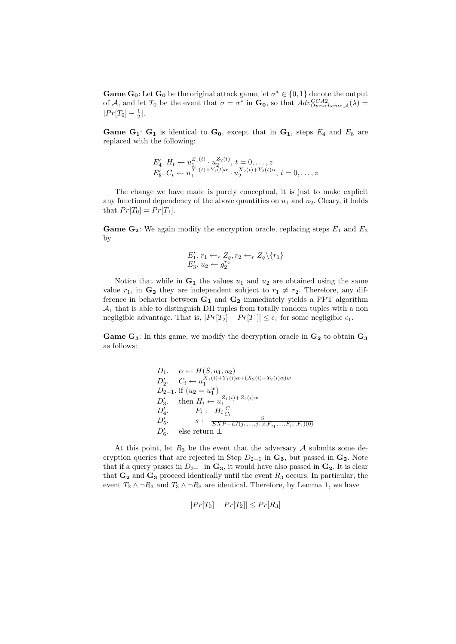**Game G<sub>0</sub>**: Let **G**<sub>0</sub> be the original attack game, let  $\sigma^* \in \{0, 1\}$  denote the output of A, and let  $T_0$  be the event that  $\sigma = \sigma^*$  in  $\mathbf{G_0}$ , so that  $Adv_{Our scheme, \mathcal{A}}^{CCA2}(\lambda)$  $|Pr[T_0] - \frac{1}{2}|.$ 

**Game G<sub>1</sub>: G<sub>1</sub>** is identical to  $G_0$ , except that in  $G_1$ , steps  $E_4$  and  $E_8$  are replaced with the following:

$$
E_4'. H_t \leftarrow u_1^{Z_1(t)} \cdot u_2^{Z_2(t)}, t = 0, \dots, z
$$
  
\n
$$
E_8'. C_t \leftarrow u_1^{X_1(t) + Y_1(t)\alpha} \cdot u_2^{X_2(t) + Y_2(t)\alpha}, t = 0, \dots, z
$$

The change we have made is purely conceptual, it is just to make explicit any functional dependency of the above quantities on  $u_1$  and  $u_2$ . Cleary, it holds that  $Pr[T_0] = Pr[T_1]$ .

**Game G<sub>2</sub>:** We again modify the encryption oracle, replacing steps  $E_1$  and  $E_3$ by

$$
E'_1, r_1 \leftarrow_r Z_q, r_2 \leftarrow_r Z_q \setminus \{r_1\}
$$
  

$$
E'_3, u_2 \leftarrow g_2^{r_2}
$$

Notice that while in  $G_1$  the values  $u_1$  and  $u_2$  are obtained using the same value  $r_1$ , in  $G_2$  they are independent subject to  $r_1 \neq r_2$ . Therefore, any difference in behavior between  $G_1$  and  $G_2$  immediately yields a PPT algorithm  $A_1$  that is able to distinguish DH tuples from totally random tuples with a non negligible advantage. That is,  $|Pr[T_2] - Pr[T_1]| \leq \epsilon_1$  for some negligible  $\epsilon_1$ .

Game  $G_3$ : In this game, we modify the decryption oracle in  $G_2$  to obtain  $G_3$ as follows:

$$
D_1. \quad \alpha \leftarrow H(S, u_1, u_2)
$$
  
\n
$$
D'_2. \quad C_i \leftarrow u_1^{X_1(i) + Y_1(i)\alpha + (X_2(i) + Y_2(i)\alpha)w}
$$
  
\n
$$
D_{2-1}. \text{ if } (u_2 = u_1^w)
$$
  
\n
$$
D'_3. \quad \text{then } H_i \leftarrow u_1^{Z_1(i) + Z_2(i)w}
$$
  
\n
$$
D'_4. \quad F_i \leftarrow H_i \frac{C}{C_i}
$$
  
\n
$$
D'_5. \quad s \leftarrow \frac{S}{EXP - LI(j_1, \ldots, j_z, i, F_{j_1}, \ldots, F_{j_z}, F_i)(0)}
$$
  
\n
$$
D'_6. \quad \text{else return } \perp
$$

At this point, let  $R_3$  be the event that the adversary  $A$  submits some decryption queries that are rejected in Step  $D_{2-1}$  in  $\mathbf{G}_3$ , but passed in  $\mathbf{G}_2$ . Note that if a query passes in  $D_{2-1}$  in  $\mathbf{G}_3$ , it would have also passed in  $\mathbf{G}_2$ . It is clear that  $\mathbf{G}_2$  and  $\mathbf{G}_3$  proceed identically until the event  $R_3$  occurs. In particular, the event  $T_2 \wedge \neg R_3$  and  $T_3 \wedge \neg R_3$  are identical. Therefore, by Lemma 1, we have

$$
|Pr[T_3] - Pr[T_2]| \le Pr[R_3]
$$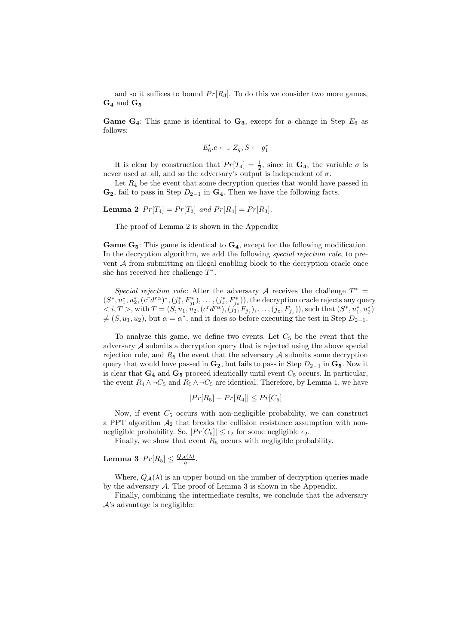and so it suffices to bound  $Pr[R_3]$ . To do this we consider two more games,  $\mathbf{G_4}$  and  $\mathbf{G_5}$ 

**Game G<sub>4</sub>**: This game is identical to  $G_3$ , except for a change in Step  $E_6$  as follows:

$$
E'_6.e \leftarrow_r Z_q, S \leftarrow g_1^e
$$

It is clear by construction that  $Pr[T_4] = \frac{1}{2}$ , since in  $\mathbf{G}_4$ , the variable  $\sigma$  is never used at all, and so the adversary's output is independent of  $\sigma$ .

Let  $R_4$  be the event that some decryption queries that would have passed in  $\mathbf{G_2}$ , fail to pass in Step  $D_{2-1}$  in  $\mathbf{G_4}$ . Then we have the following facts.

**Lemma 2**  $Pr[T_4] = Pr[T_3]$  and  $Pr[R_4] = Pr[R_3]$ .

The proof of Lemma 2 is shown in the Appendix

**Game G<sub>5</sub>:** This game is identical to  $G_4$ , except for the following modification. In the decryption algorithm, we add the following *special rejection rule*, to prevent A from submitting an illegal enabling block to the decryption oracle once she has received her challenge  $T^*$ .

Special rejection rule: After the adversary A receives the challenge  $T^*$  =  $(S^*, u_1^*, u_2^*, (c^r d^{r\alpha})^*, (j_1^*, F_{j_1}^*), \ldots, (j_z^*, F_{j_z}^*)),$  the decryption oracle rejects any query  $\langle i, T \rangle$ , with  $T = (S, u_1, u_2, (c^r d^{r\alpha}), (j_1, F_{j_1}), \ldots, (j_z, F_{j_z}),$  such that  $(S^*, u_1^*, u_2^*)$  $\neq$   $(S, u_1, u_2)$ , but  $\alpha = \alpha^*$ , and it does so before executing the test in Step  $D_{2-1}$ .

To analyze this game, we define two events. Let  $C<sub>5</sub>$  be the event that the adversary A submits a decryption query that is rejected using the above special rejection rule, and  $R_5$  the event that the adversary  $A$  submits some decryption query that would have passed in  $\mathbf{G}_2$ , but fails to pass in Step  $D_{2-1}$  in  $\mathbf{G}_5$ . Now it is clear that  $G_4$  and  $G_5$  proceed identically until event  $C_5$  occurs. In particular, the event  $R_4 \wedge \neg C_5$  and  $R_5 \wedge \neg C_5$  are identical. Therefore, by Lemma 1, we have

$$
|Pr[R_5] - Pr[R_4]| \le Pr[C_5]
$$

Now, if event  $C_5$  occurs with non-negligible probability, we can construct a PPT algorithm  $A_2$  that breaks the collision resistance assumption with nonnegligible probability. So,  $|Pr[C_5]| \leq \epsilon_2$  for some negligible  $\epsilon_2$ .

Finally, we show that event  $R_5$  occurs with negligible probability.

# Lemma 3  $Pr[R_5] \leq \frac{Q_{\mathcal{A}}(\lambda)}{q}$ .

Where,  $Q_{\mathcal{A}}(\lambda)$  is an upper bound on the number of decryption queries made by the adversary  $A$ . The proof of Lemma 3 is shown in the Appendix.

Finally, combining the intermediate results, we conclude that the adversary  $\mathcal{A}$ 's advantage is negligible: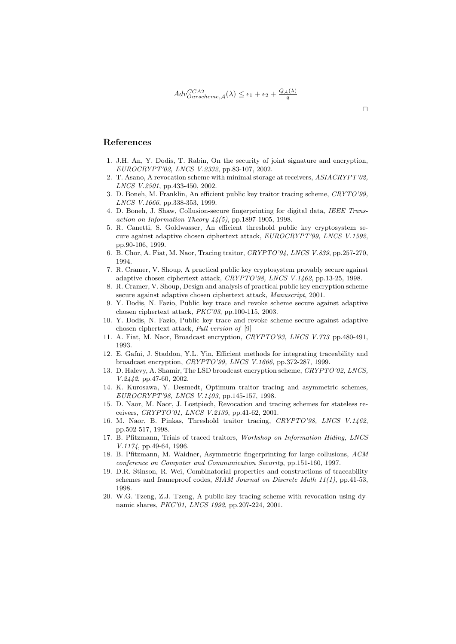## References

- 1. J.H. An, Y. Dodis, T. Rabin, On the security of joint signature and encryption, EUROCRYPT'02, LNCS V.2332, pp.83-107, 2002.
- 2. T. Asano, A revocation scheme with minimal storage at receivers, ASIACRYPT'02, LNCS V.2501, pp.433-450, 2002.
- 3. D. Boneh, M. Franklin, An efficient public key traitor tracing scheme, CRYTO'99, LNCS V.1666, pp.338-353, 1999.
- 4. D. Boneh, J. Shaw, Collusion-secure fingerprinting for digital data, IEEE Transaction on Information Theory  $44(5)$ , pp.1897-1905, 1998.
- 5. R. Canetti, S. Goldwasser, An efficient threshold public key cryptosystem secure against adaptive chosen ciphertext attack, EUROCRYPT'99, LNCS V.1592, pp.90-106, 1999.
- 6. B. Chor, A. Fiat, M. Naor, Tracing traitor, CRYPTO'94, LNCS V.839, pp.257-270, 1994.
- 7. R. Cramer, V. Shoup, A practical public key cryptosystem provably secure against adaptive chosen ciphertext attack, CRYPTO'98, LNCS V.1462, pp.13-25, 1998.
- 8. R. Cramer, V. Shoup, Design and analysis of practical public key encryption scheme secure against adaptive chosen ciphertext attack, Manuscript, 2001.
- 9. Y. Dodis, N. Fazio, Public key trace and revoke scheme secure against adaptive chosen ciphertext attack, PKC'03, pp.100-115, 2003.
- 10. Y. Dodis, N. Fazio, Public key trace and revoke scheme secure against adaptive chosen ciphertext attack, Full version of [9]
- 11. A. Fiat, M. Naor, Broadcast encryption, CRYPTO'93, LNCS V.773 pp.480-491, 1993.
- 12. E. Gafni, J. Staddon, Y.L. Yin, Efficient methods for integrating traceability and broadcast encryption, CRYPTO'99, LNCS V.1666, pp.372-287, 1999.
- 13. D. Halevy, A. Shamir, The LSD broadcast encryption scheme, CRYPTO'02, LNCS, V.2442, pp.47-60, 2002.
- 14. K. Kurosawa, Y. Desmedt, Optimum traitor tracing and asymmetric schemes, EUROCRYPT'98, LNCS V.1403, pp.145-157, 1998.
- 15. D. Naor, M. Naor, J. Lostpiech, Revocation and tracing schemes for stateless receivers, CRYPTO'01, LNCS V.2139, pp.41-62, 2001.
- 16. M. Naor, B. Pinkas, Threshold traitor tracing, CRYPTO'98, LNCS V.1462, pp.502-517, 1998.
- 17. B. Pfitzmann, Trials of traced traitors, Workshop on Information Hiding, LNCS V.1174, pp.49-64, 1996.
- 18. B. Pfitzmann, M. Waidner, Asymmetric fingerprinting for large collusions, ACM conference on Computer and Communication Security, pp.151-160, 1997.
- 19. D.R. Stinson, R. Wei, Combinatorial properties and constructions of traceability schemes and frameproof codes, SIAM Journal on Discrete Math 11(1), pp.41-53, 1998.
- 20. W.G. Tzeng, Z.J. Tzeng, A public-key tracing scheme with revocation using dynamic shares, PKC'01, LNCS 1992, pp.207-224, 2001.

 $\Box$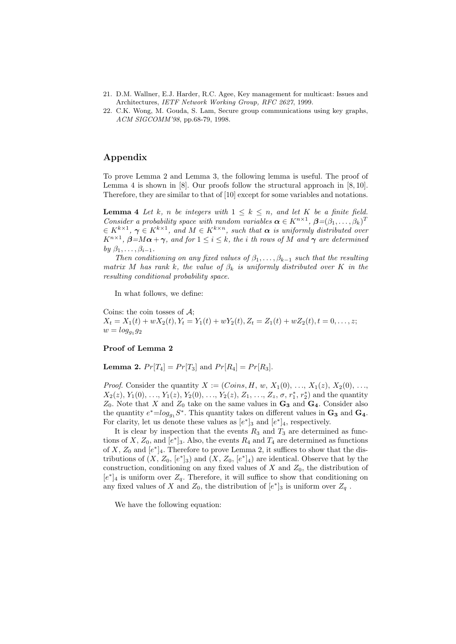- 21. D.M. Wallner, E.J. Harder, R.C. Agee, Key management for multicast: Issues and Architectures, IETF Network Working Group, RFC 2627, 1999.
- 22. C.K. Wong, M. Gouda, S. Lam, Secure group communications using key graphs, ACM SIGCOMM'98, pp.68-79, 1998.

## Appendix

To prove Lemma 2 and Lemma 3, the following lemma is useful. The proof of Lemma 4 is shown in [8]. Our proofs follow the structural approach in [8, 10]. Therefore, they are similar to that of [10] except for some variables and notations.

**Lemma 4** Let k, n be integers with  $1 \leq k \leq n$ , and let K be a finite field. Consider a probability space with random variables  $\alpha \in K^{n \times 1}$ ,  $\beta = (\beta_1, \ldots, \beta_k)^T$  $\in K^{k\times 1}$ ,  $\gamma \in K^{k\times 1}$ , and  $M \in K^{k\times n}$ , such that  $\alpha$  is uniformly distributed over  $K^{n\times 1}$ ,  $\beta = M\alpha + \gamma$ , and for  $1 \leq i \leq k$ , the *i* th rows of M and  $\gamma$  are determined by  $\beta_1, \ldots, \beta_{i-1}$ .

Then conditioning on any fixed values of  $\beta_1, \ldots, \beta_{k-1}$  such that the resulting matrix M has rank k, the value of  $\beta_k$  is uniformly distributed over K in the resulting conditional probability space.

In what follows, we define:

Coins: the coin tosses of  $A$ ;  $X_t = X_1(t) + wX_2(t), Y_t = Y_1(t) + wY_2(t), Z_t = Z_1(t) + wZ_2(t), t = 0, \ldots, z;$  $w = log_{g_1} g_2$ 

## Proof of Lemma 2

**Lemma 2.**  $Pr[T_4] = Pr[T_3]$  and  $Pr[R_4] = Pr[R_3]$ .

*Proof.* Consider the quantity  $X := (Coins, H, w, X_1(0), ..., X_1(z), X_2(0), ...,$  $X_2(z), Y_1(0), \ldots, Y_1(z), Y_2(0), \ldots, Y_2(z), Z_1, \ldots, Z_z, \sigma, r_1^*, r_2^*)$  and the quantity  $Z_0$ . Note that X and  $Z_0$  take on the same values in  $\mathbf{G}_3$  and  $\mathbf{G}_4$ . Consider also the quantity  $e^* = \log_{g_1} S^*$ . This quantity takes on different values in  $\mathbf{G_3}$  and  $\mathbf{G_4}$ . For clarity, let us denote these values as  $[e^*]_3$  and  $[e^*]_4$ , respectively.

It is clear by inspection that the events  $R_3$  and  $T_3$  are determined as functions of X,  $Z_0$ , and  $[e^*]_3$ . Also, the events  $R_4$  and  $T_4$  are determined as functions of X,  $Z_0$  and  $[e^*]_4$ . Therefore to prove Lemma 2, it suffices to show that the distributions of  $(X, Z_0, [e^*]_3)$  and  $(X, Z_0, [e^*]_4)$  are identical. Observe that by the construction, conditioning on any fixed values of  $X$  and  $Z_0$ , the distribution of  $[e^*]_4$  is uniform over  $Z_q$ . Therefore, it will suffice to show that conditioning on any fixed values of X and  $Z_0$ , the distribution of  $[e^*]_3$  is uniform over  $Z_q$ .

We have the following equation: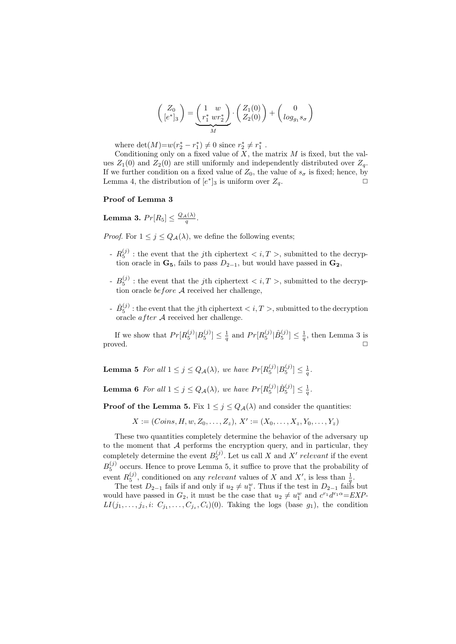$$
\begin{pmatrix} Z_0 \\ [e^*]_3 \end{pmatrix} = \underbrace{\begin{pmatrix} 1 & w \\ r_1^* & wr_2^* \end{pmatrix}}_{M} \cdot \begin{pmatrix} Z_1(0) \\ Z_2(0) \end{pmatrix} + \begin{pmatrix} 0 \\ \log_{g_1} s_{\sigma} \end{pmatrix}
$$

where  $\det(M) = w(r_2^* - r_1^*) \neq 0$  since  $r_2^* \neq r_1^*$ .

Conditioning only on a fixed value of  $\overline{X}$ , the matrix  $\overline{M}$  is fixed, but the values  $Z_1(0)$  and  $Z_2(0)$  are still uniformly and independently distributed over  $Z_q$ . If we further condition on a fixed value of  $Z_0$ , the value of  $s_{\sigma}$  is fixed; hence, by Lemma 4, the distribution of  $[e^*]_3$  is uniform over  $Z_q$ .

#### Proof of Lemma 3

**Lemma 3.**  $Pr[R_5] \leq \frac{Q_{\mathcal{A}}(\lambda)}{q}$ .

*Proof.* For  $1 \leq j \leq Q_{\mathcal{A}}(\lambda)$ , we define the following events;

- $-R_5^{(j)}$ : the event that the jth ciphertext  $\langle i, T \rangle$ , submitted to the decryption oracle in  $\mathbf{G}_5$ , fails to pass  $D_{2-1}$ , but would have passed in  $\mathbf{G}_2$ ,
- $B_5^{(j)}$ : the event that the jth ciphertext  $\langle i, T \rangle$ , submitted to the decryption oracle before A received her challenge,
- $\hat{B}^{(j)}_{5}$  : the event that the jth ciphertext  $< i, T>,$  submitted to the decryption oracle  $after \mathcal{A}$  received her challenge.

If we show that  $Pr[R_5^{(j)} | B_5^{(j)}] \leq \frac{1}{q}$  and  $Pr[R_5^{(j)} | \hat{B}_5^{(j)}] \leq \frac{1}{q}$ , then Lemma 3 is  $\Box$ 

**Lemma 5** For all  $1 \leq j \leq Q_{\mathcal{A}}(\lambda)$ , we have  $Pr[R_5^{(j)} | B_5^{(j)}] \leq \frac{1}{q}$ .

**Lemma 6** For all  $1 \leq j \leq Q_{\mathcal{A}}(\lambda)$ , we have  $Pr[R_5^{(j)} | \hat{B}_5^{(j)}] \leq \frac{1}{q}$ .

**Proof of the Lemma 5.** Fix  $1 \leq j \leq Q_A(\lambda)$  and consider the quantities:

 $X := (Coins, H, w, Z_0, \ldots, Z_z), X' := (X_0, \ldots, X_z, Y_0, \ldots, Y_z)$ 

These two quantities completely determine the behavior of the adversary up to the moment that  $A$  performs the encryption query, and in particular, they completely determine the event  $B_5^{(j)}$ . Let us call X and X' relevant if the event  $B_5^{(j)}$  occurs. Hence to prove Lemma 5, it suffice to prove that the probability of event  $R_5^{(j)}$ , conditioned on any *relevant* values of X and X', is less than  $\frac{1}{q}$ .

The test  $D_{2-1}$  fails if and only if  $u_2 \neq u_1^w$ . Thus if the test in  $D_{2-1}$  fails but would have passed in  $G_2$ , it must be the case that  $u_2 \neq u_1^w$  and  $c^{r_1}d^{r_1\alpha} = EXP$  $LI(j_1,\ldots,j_z,i: C_{j_1},\ldots,C_{j_z},C_i)(0)$ . Taking the logs (base  $g_1$ ), the condition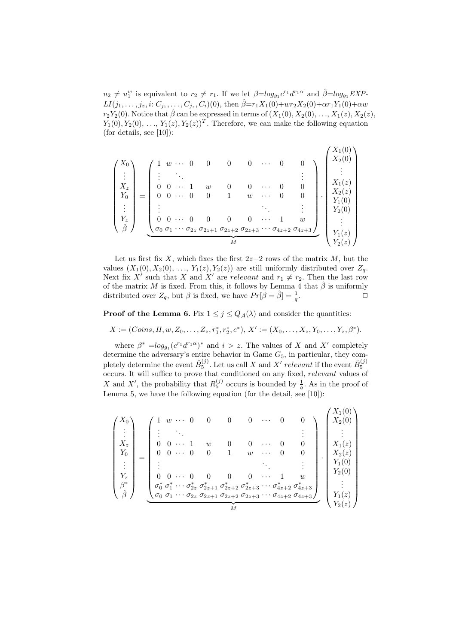$u_2 \neq u_1^w$  is equivalent to  $r_2 \neq r_1$ . If we let  $\beta = log_{g_1} c^{r_1} d^{r_1 \alpha}$  and  $\hat{\beta} = log_{g_1} EXP$  $LI(j_1,...,j_z,i: C_{j_1},..., C_{j_z}, C_i)(0)$ , then  $\hat{\beta}=r_1X_1(0)+wr_2X_2(0)+\alpha r_1Y_1(0)+\alpha w$  $r_2Y_2(0)$ . Notice that  $\hat{\beta}$  can be expressed in terms of  $(X_1(0), X_2(0), \ldots, X_1(z), X_2(z),$  $Y_1(0), Y_2(0), \ldots, Y_1(z), Y_2(z))^T$ . Therefore, we can make the following equation (for details, see  $[10]$ ):

$$
\begin{pmatrix} X_0 \\ \vdots \\ X_z \\ Y_0 \\ \vdots \\ Y_z \\ \hat{\beta} \end{pmatrix} = \begin{pmatrix} 1 & w & \cdots & 0 & 0 & 0 & 0 & \cdots & 0 & 0 \\ \vdots & \ddots & & & & & \vdots \\ 0 & 0 & \cdots & 1 & w & 0 & 0 & \cdots & 0 & 0 \\ 0 & 0 & \cdots & 0 & 0 & 1 & w & \cdots & 0 & 0 \\ \vdots & & & & & & & \vdots \\ 0 & 0 & \cdots & 0 & 0 & 0 & \cdots & 1 & w \\ 0 & 0 & \cdots & 0 & 0 & 0 & \cdots & 1 & w \\ \hline \sigma_0 & \sigma_1 & \cdots & \sigma_{2z} & \sigma_{2z+1} & \sigma_{2z+2} & \sigma_{2z+3} & \cdots & \sigma_{4z+2} & \sigma_{4z+3} \end{pmatrix} \begin{pmatrix} X_1(0) \\ X_2(0) \\ \vdots \\ X_1(z) \\ Y_1(0) \\ Y_2(0) \\ \vdots \\ Y_1(z) \\ Y_2(z) \end{pmatrix}
$$

Let us first fix X, which fixes the first  $2z+2$  rows of the matrix M, but the values  $(X_1(0), X_2(0), \ldots, Y_1(z), Y_2(z))$  are still uniformly distributed over  $Z_q$ . Next fix X' such that X and X' are relevant and  $r_1 \neq r_2$ . Then the last row of the matrix M is fixed. From this, it follows by Lemma 4 that  $\hat{\beta}$  is uniformly distributed over  $Z_q$ , but  $\beta$  is fixed, we have  $Pr[\beta = \hat{\beta}] = \frac{1}{q}$ .

**Proof of the Lemma 6.** Fix  $1 \leq j \leq Q_{\mathcal{A}}(\lambda)$  and consider the quantities:

 $X := (Coins, H, w, Z_0, \ldots, Z_z, r_1^*, r_2^*, e^*), X' := (X_0, \ldots, X_z, Y_0, \ldots, Y_z, \beta^*).$ 

where  $\beta^* = \log_{g_1}(c^{r_1}d^{r_1\alpha})^*$  and  $i > z$ . The values of X and X' completely determine the adversary's entire behavior in Game  $G_5$ , in particular, they completely determine the event  $\hat{B}_5^{(j)}$ . Let us call X and X' relevant if the event  $\hat{B}_5^{(j)}$  occurs. It will suffice to prove that conditioned on any fixed, relevant values of X and X', the probability that  $R_5^{(j)}$  occurs is bounded by  $\frac{1}{q}$ . As in the proof of Lemma 5, we have the following equation (for the detail, see  $[10]$ ):

$$
\begin{pmatrix}\nX_0 \\
\vdots \\
X_z \\
Y_0 \\
\vdots \\
Y_z \\
\beta^*\n\end{pmatrix} = \begin{pmatrix}\n1 & w & \cdots & 0 & 0 & 0 & 0 & \cdots & 0 & 0 \\
\vdots & \ddots & & & & & & \\
0 & 0 & \cdots & 1 & w & 0 & 0 & \cdots & 0 & 0 \\
0 & 0 & \cdots & 0 & 0 & 1 & w & \cdots & 0 & 0 \\
\vdots & & & & & & & & \\
0 & 0 & \cdots & 0 & 0 & 0 & \cdots & 1 & w \\
\vdots & & & & & & & & \\
\sigma_0^* & \sigma_1^* & \cdots & \sigma_{2z}^* & \sigma_{2z+1}^* & \sigma_{2z+2}^* & \sigma_{2z+3}^* & \cdots & \sigma_{4z+2}^* & \sigma_{4z+3}^* \\
\vdots & & & & & & & \\
\sigma_0 & \sigma_1 & \cdots & \sigma_{2z} & \sigma_{2z+1} & \sigma_{2z+2}^* & \sigma_{2z+3}^* & \cdots & \sigma_{4z+2}^* & \sigma_{4z+3}^* \\
\vdots & & & & & & \\
M & & & & & & \\
\end{pmatrix} \cdot \begin{pmatrix}\nX_1(0) \\
X_2(0) \\
X_1(z) \\
X_1(z) \\
Y_2(0) \\
Y_1(0) \\
Y_2(0) \\
Y_2(z)\n\end{pmatrix}
$$